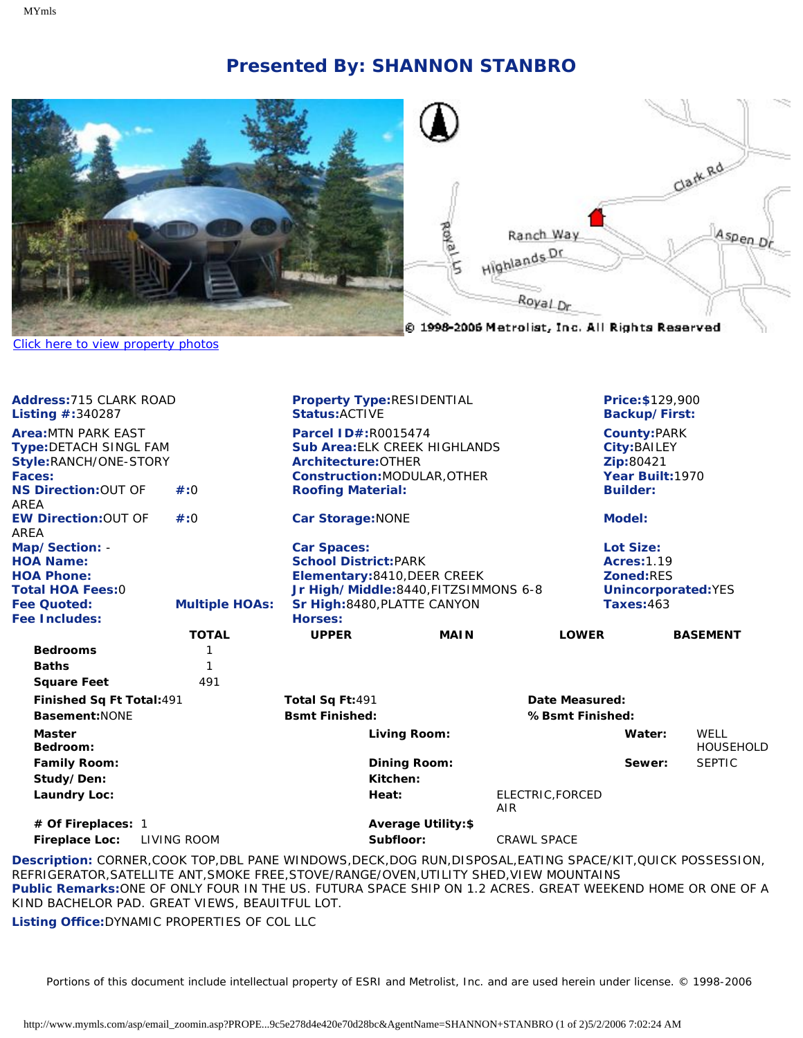## **Presented By: SHANNON STANBRO**



## [Click here to view property photos](#page-1-0)

| Address:715 CLARK ROAD<br><b>Listing <math>\#:340287</math></b>                                                                                                                              |                                                                                                                           | <b>Property Type:RESIDENTIAL</b><br><b>Status: ACTIVE</b> |                                                                            |                         |                                                                                   | <b>Price: \$129,900</b><br><b>Backup/First:</b>                     |                   |  |
|----------------------------------------------------------------------------------------------------------------------------------------------------------------------------------------------|---------------------------------------------------------------------------------------------------------------------------|-----------------------------------------------------------|----------------------------------------------------------------------------|-------------------------|-----------------------------------------------------------------------------------|---------------------------------------------------------------------|-------------------|--|
| <b>Area: MTN PARK EAST</b><br>Type:DETACH SINGL FAM<br>Style:RANCH/ONE-STORY<br>Faces:                                                                                                       |                                                                                                                           | <b>Parcel ID#:R0015474</b><br>Architecture: OTHER         | <b>Sub Area: ELK CREEK HIGHLANDS</b><br><b>Construction:MODULAR, OTHER</b> |                         |                                                                                   | <b>County:PARK</b><br>City: BAILEY<br>Zip:80421<br>Year Built: 1970 |                   |  |
| <b>NS Direction: OUT OF</b><br>AREA                                                                                                                                                          | #:0                                                                                                                       | <b>Roofing Material:</b>                                  |                                                                            |                         |                                                                                   | <b>Builder:</b>                                                     |                   |  |
| <b>EW Direction: OUT OF</b><br>AREA                                                                                                                                                          | $\#:0$                                                                                                                    | <b>Car Storage: NONE</b>                                  |                                                                            |                         |                                                                                   | Model:                                                              |                   |  |
| Map/Section: -<br><b>HOA Name:</b><br><b>HOA Phone:</b><br><b>Total HOA Fees:0</b>                                                                                                           | <b>Car Spaces:</b><br><b>School District:PARK</b><br>Elementary: 8410, DEER CREEK<br>Jr High/Middle:8440, FITZSIMMONS 6-8 |                                                           |                                                                            |                         | Lot Size:<br><b>Acres: 1.19</b><br><b>Zoned:RES</b><br><b>Unincorporated: YES</b> |                                                                     |                   |  |
| Fee Quoted:<br><b>Fee Includes:</b>                                                                                                                                                          | <b>Multiple HOAs:</b>                                                                                                     | Sr High:8480, PLATTE CANYON<br><b>Horses:</b>             |                                                                            |                         |                                                                                   | Taxes:463                                                           |                   |  |
|                                                                                                                                                                                              | <b>TOTAL</b>                                                                                                              | <b>UPPER</b>                                              | <b>MAIN</b>                                                                |                         | <b>LOWER</b>                                                                      |                                                                     | <b>BASEMENT</b>   |  |
| <b>Bedrooms</b>                                                                                                                                                                              | 1                                                                                                                         |                                                           |                                                                            |                         |                                                                                   |                                                                     |                   |  |
| <b>Baths</b>                                                                                                                                                                                 | 1                                                                                                                         |                                                           |                                                                            |                         |                                                                                   |                                                                     |                   |  |
| <b>Square Feet</b>                                                                                                                                                                           | 491                                                                                                                       |                                                           |                                                                            |                         |                                                                                   |                                                                     |                   |  |
| Finished Sq Ft Total: 491                                                                                                                                                                    |                                                                                                                           | Total Sq Ft:491                                           |                                                                            |                         | Date Measured:                                                                    |                                                                     |                   |  |
| Basement: NONE                                                                                                                                                                               |                                                                                                                           | <b>Bsmt Finished:</b>                                     |                                                                            |                         | %Bsmt Finished:                                                                   |                                                                     |                   |  |
| <b>Master</b><br>Bedroom:                                                                                                                                                                    |                                                                                                                           |                                                           | Living Room:                                                               |                         |                                                                                   | Water:                                                              | WELL<br>HOUSEHOLD |  |
| <b>Family Room:</b>                                                                                                                                                                          |                                                                                                                           |                                                           | <b>Dining Room:</b>                                                        |                         |                                                                                   | Sewer:                                                              | <b>SEPTIC</b>     |  |
| Study/Den:                                                                                                                                                                                   |                                                                                                                           |                                                           | Kitchen:                                                                   |                         |                                                                                   |                                                                     |                   |  |
| <b>Laundry Loc:</b>                                                                                                                                                                          |                                                                                                                           |                                                           | Heat:                                                                      | ELECTRIC, FORCED<br>AIR |                                                                                   |                                                                     |                   |  |
| # Of Fireplaces: 1                                                                                                                                                                           |                                                                                                                           |                                                           | <b>Average Utility:\$</b>                                                  |                         |                                                                                   |                                                                     |                   |  |
| <b>Fireplace Loc:</b><br>LIVING ROOM                                                                                                                                                         |                                                                                                                           |                                                           | Subfloor:                                                                  | <b>CRAWL SPACE</b>      |                                                                                   |                                                                     |                   |  |
| Description: CORNER,COOK TOP,DBL PANE WINDOWS,DECK,DOG RUN,DISPOSAL,EATING SPACE/KIT,QUICK POSSESSION,<br>REFRIGERATOR,SATELLITE ANT,SMOKE FREE,STOVE/RANGE/OVEN,UTILITY SHED,VIEW MOUNTAINS |                                                                                                                           |                                                           |                                                                            |                         |                                                                                   |                                                                     |                   |  |

**Public Remarks:**ONE OF ONLY FOUR IN THE US. FUTURA SPACE SHIP ON 1.2 ACRES. GREAT WEEKEND HOME OR ONE OF A KIND BACHELOR PAD. GREAT VIEWS, BEAUITFUL LOT.

**Listing Office:**DYNAMIC PROPERTIES OF COL LLC

Portions of this document include intellectual property of ESRI and Metrolist, Inc. and are used herein under license. © 1998-2006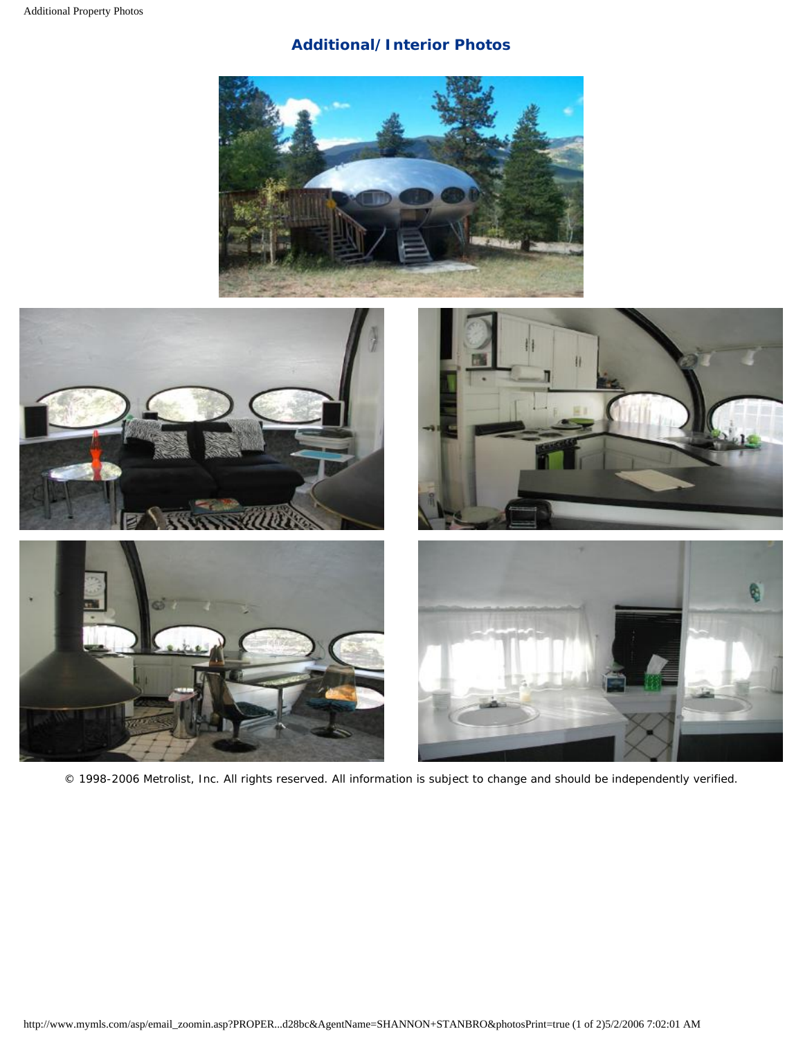## **Additional/Interior Photos**

<span id="page-1-0"></span>



© 1998-2006 Metrolist, Inc. All rights reserved. All information is subject to change and should be independently verified.